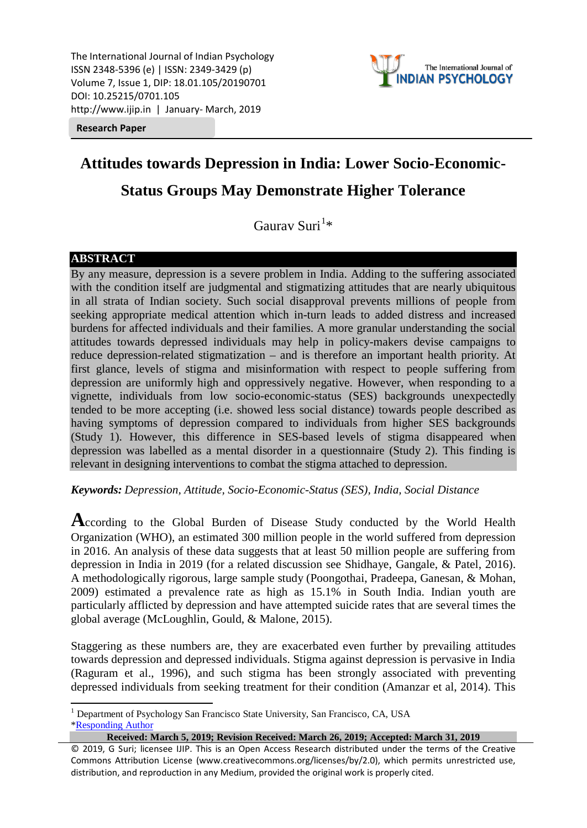The International Journal of Indian Psychology ISSN 2348-5396 (e) | ISSN: 2349-3429 (p) Volume 7, Issue 1, DIP: 18.01.105/20190701 DOI: 10.25215/0701.105 http://www.ijip.in | January- March, 2019



**Research Paper**

# **Attitudes towards Depression in India: Lower Socio-Economic-**

# **Status Groups May Demonstrate Higher Tolerance**

Gaurav Suri<sup>[1](#page-0-0)</sup>\*

# **ABSTRACT**

By any measure, depression is a severe problem in India. Adding to the suffering associated with the condition itself are judgmental and stigmatizing attitudes that are nearly ubiquitous in all strata of Indian society. Such social disapproval prevents millions of people from seeking appropriate medical attention which in-turn leads to added distress and increased burdens for affected individuals and their families. A more granular understanding the social attitudes towards depressed individuals may help in policy-makers devise campaigns to reduce depression-related stigmatization – and is therefore an important health priority. At first glance, levels of stigma and misinformation with respect to people suffering from depression are uniformly high and oppressively negative. However, when responding to a vignette, individuals from low socio-economic-status (SES) backgrounds unexpectedly tended to be more accepting (i.e. showed less social distance) towards people described as having symptoms of depression compared to individuals from higher SES backgrounds (Study 1). However, this difference in SES-based levels of stigma disappeared when depression was labelled as a mental disorder in a questionnaire (Study 2). This finding is relevant in designing interventions to combat the stigma attached to depression.

*Keywords: Depression, Attitude, Socio-Economic-Status (SES), India, Social Distance*

**A**ccording to the Global Burden of Disease Study conducted by the World Health Organization (WHO), an estimated 300 million people in the world suffered from depression in 2016. An analysis of these data suggests that at least 50 million people are suffering from depression in India in 2019 (for a related discussion see Shidhaye, Gangale, & Patel, 2016). A methodologically rigorous, large sample study (Poongothai, Pradeepa, Ganesan, & Mohan, 2009) estimated a prevalence rate as high as 15.1% in South India. Indian youth are particularly afflicted by depression and have attempted suicide rates that are several times the global average (McLoughlin, Gould, & Malone, 2015).

Staggering as these numbers are, they are exacerbated even further by prevailing attitudes towards depression and depressed individuals. Stigma against depression is pervasive in India (Raguram et al., 1996), and such stigma has been strongly associated with preventing depressed individuals from seeking treatment for their condition (Amanzar et al, 2014). This

**Received: March 5, 2019; Revision Received: March 26, 2019; Accepted: March 31, 2019**

<span id="page-0-0"></span><sup>&</sup>lt;sup>1</sup> Department of Psychology San Francisco State University, San Francisco, CA, USA [\\*Responding Author](mailto:suri@sfsu.edu)

<sup>© 2019,</sup> G Suri; licensee IJIP. This is an Open Access Research distributed under the terms of the Creative Commons Attribution License (www.creativecommons.org/licenses/by/2.0), which permits unrestricted use, distribution, and reproduction in any Medium, provided the original work is properly cited.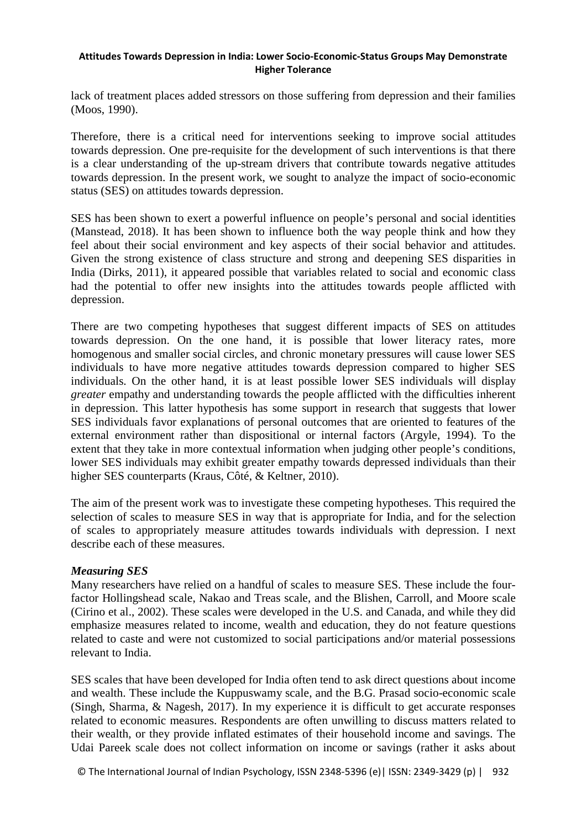lack of treatment places added stressors on those suffering from depression and their families (Moos, 1990).

Therefore, there is a critical need for interventions seeking to improve social attitudes towards depression. One pre-requisite for the development of such interventions is that there is a clear understanding of the up-stream drivers that contribute towards negative attitudes towards depression. In the present work, we sought to analyze the impact of socio-economic status (SES) on attitudes towards depression.

SES has been shown to exert a powerful influence on people's personal and social identities (Manstead, 2018). It has been shown to influence both the way people think and how they feel about their social environment and key aspects of their social behavior and attitudes. Given the strong existence of class structure and strong and deepening SES disparities in India (Dirks, 2011), it appeared possible that variables related to social and economic class had the potential to offer new insights into the attitudes towards people afflicted with depression.

There are two competing hypotheses that suggest different impacts of SES on attitudes towards depression. On the one hand, it is possible that lower literacy rates, more homogenous and smaller social circles, and chronic monetary pressures will cause lower SES individuals to have more negative attitudes towards depression compared to higher SES individuals. On the other hand, it is at least possible lower SES individuals will display *greater* empathy and understanding towards the people afflicted with the difficulties inherent in depression. This latter hypothesis has some support in research that suggests that lower SES individuals favor explanations of personal outcomes that are oriented to features of the external environment rather than dispositional or internal factors (Argyle, 1994). To the extent that they take in more contextual information when judging other people's conditions, lower SES individuals may exhibit greater empathy towards depressed individuals than their higher SES counterparts (Kraus, Côté, & Keltner, 2010).

The aim of the present work was to investigate these competing hypotheses. This required the selection of scales to measure SES in way that is appropriate for India, and for the selection of scales to appropriately measure attitudes towards individuals with depression. I next describe each of these measures.

# *Measuring SES*

Many researchers have relied on a handful of scales to measure SES. These include the fourfactor Hollingshead scale, Nakao and Treas scale, and the Blishen, Carroll, and Moore scale (Cirino et al., 2002). These scales were developed in the U.S. and Canada, and while they did emphasize measures related to income, wealth and education, they do not feature questions related to caste and were not customized to social participations and/or material possessions relevant to India.

SES scales that have been developed for India often tend to ask direct questions about income and wealth. These include the Kuppuswamy scale, and the B.G. Prasad socio-economic scale (Singh, Sharma, & Nagesh, 2017). In my experience it is difficult to get accurate responses related to economic measures. Respondents are often unwilling to discuss matters related to their wealth, or they provide inflated estimates of their household income and savings. The Udai Pareek scale does not collect information on income or savings (rather it asks about

© The International Journal of Indian Psychology, ISSN 2348-5396 (e)| ISSN: 2349-3429 (p) | 932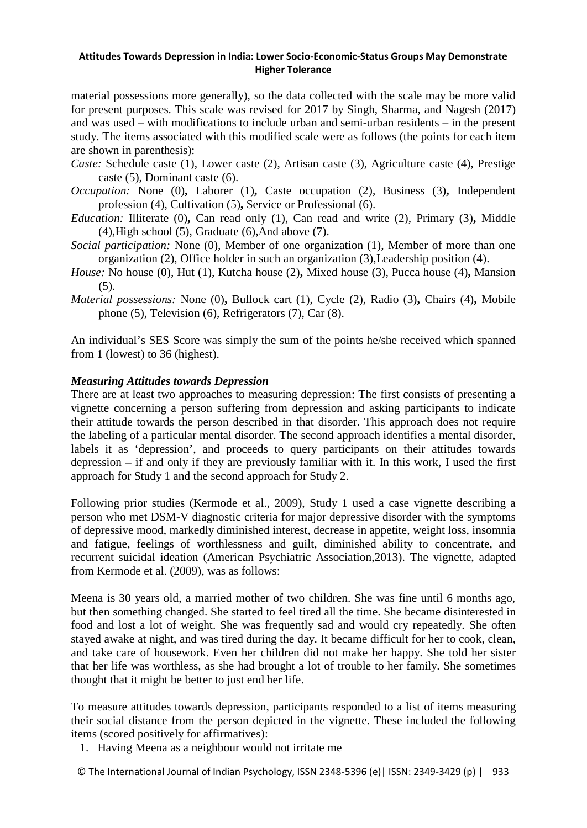material possessions more generally), so the data collected with the scale may be more valid for present purposes. This scale was revised for 2017 by Singh, Sharma, and Nagesh (2017) and was used – with modifications to include urban and semi-urban residents – in the present study. The items associated with this modified scale were as follows (the points for each item are shown in parenthesis):

- *Caste:* Schedule caste (1), Lower caste (2), Artisan caste (3), Agriculture caste (4), Prestige caste (5), Dominant caste (6).
- *Occupation:* None (0)**,** Laborer (1)**,** Caste occupation (2), Business (3)**,** Independent profession (4), Cultivation (5)**,** Service or Professional (6).
- *Education:* Illiterate (0)**,** Can read only (1), Can read and write (2), Primary (3)**,** Middle  $(4)$ , High school  $(5)$ , Graduate  $(6)$ , And above  $(7)$ .
- *Social participation:* None (0), Member of one organization (1), Member of more than one organization (2), Office holder in such an organization (3),Leadership position (4).
- *House:* No house (0), Hut (1), Kutcha house (2)**,** Mixed house (3), Pucca house (4)**,** Mansion  $(5)$ .
- *Material possessions:* None (0)**,** Bullock cart (1), Cycle (2), Radio (3)**,** Chairs (4)**,** Mobile phone (5), Television (6), Refrigerators (7), Car (8).

An individual's SES Score was simply the sum of the points he/she received which spanned from 1 (lowest) to 36 (highest).

# *Measuring Attitudes towards Depression*

There are at least two approaches to measuring depression: The first consists of presenting a vignette concerning a person suffering from depression and asking participants to indicate their attitude towards the person described in that disorder. This approach does not require the labeling of a particular mental disorder. The second approach identifies a mental disorder, labels it as 'depression', and proceeds to query participants on their attitudes towards depression – if and only if they are previously familiar with it. In this work, I used the first approach for Study 1 and the second approach for Study 2.

Following prior studies (Kermode et al., 2009), Study 1 used a case vignette describing a person who met DSM-V diagnostic criteria for major depressive disorder with the symptoms of depressive mood, markedly diminished interest, decrease in appetite, weight loss, insomnia and fatigue, feelings of worthlessness and guilt, diminished ability to concentrate, and recurrent suicidal ideation (American Psychiatric Association,2013). The vignette, adapted from Kermode et al. (2009), was as follows:

Meena is 30 years old, a married mother of two children. She was fine until 6 months ago, but then something changed. She started to feel tired all the time. She became disinterested in food and lost a lot of weight. She was frequently sad and would cry repeatedly. She often stayed awake at night, and was tired during the day. It became difficult for her to cook, clean, and take care of housework. Even her children did not make her happy. She told her sister that her life was worthless, as she had brought a lot of trouble to her family. She sometimes thought that it might be better to just end her life.

To measure attitudes towards depression, participants responded to a list of items measuring their social distance from the person depicted in the vignette. These included the following items (scored positively for affirmatives):

- 1. Having Meena as a neighbour would not irritate me
- © The International Journal of Indian Psychology, ISSN 2348-5396 (e)| ISSN: 2349-3429 (p) | 933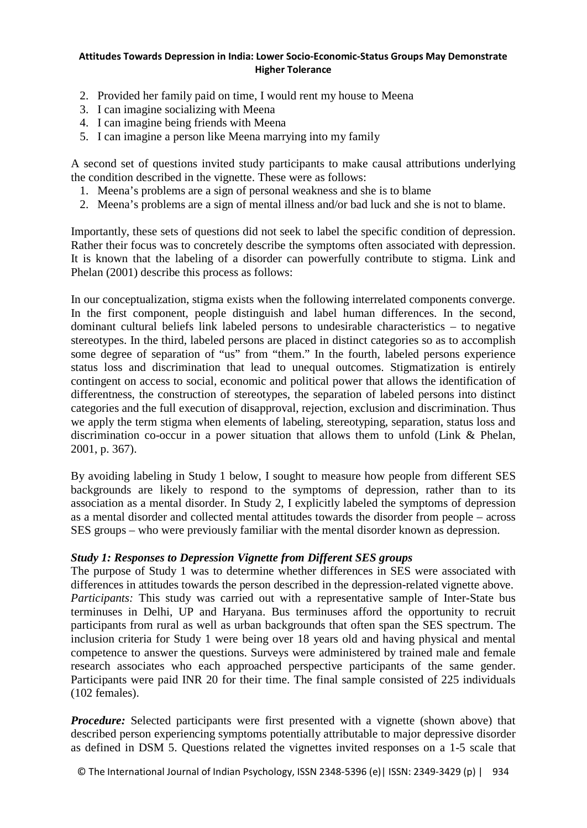- 2. Provided her family paid on time, I would rent my house to Meena
- 3. I can imagine socializing with Meena
- 4. I can imagine being friends with Meena
- 5. I can imagine a person like Meena marrying into my family

A second set of questions invited study participants to make causal attributions underlying the condition described in the vignette. These were as follows:

- 1. Meena's problems are a sign of personal weakness and she is to blame
- 2. Meena's problems are a sign of mental illness and/or bad luck and she is not to blame.

Importantly, these sets of questions did not seek to label the specific condition of depression. Rather their focus was to concretely describe the symptoms often associated with depression. It is known that the labeling of a disorder can powerfully contribute to stigma. Link and Phelan (2001) describe this process as follows:

In our conceptualization, stigma exists when the following interrelated components converge. In the first component, people distinguish and label human differences. In the second, dominant cultural beliefs link labeled persons to undesirable characteristics – to negative stereotypes. In the third, labeled persons are placed in distinct categories so as to accomplish some degree of separation of "us" from "them." In the fourth, labeled persons experience status loss and discrimination that lead to unequal outcomes. Stigmatization is entirely contingent on access to social, economic and political power that allows the identification of differentness, the construction of stereotypes, the separation of labeled persons into distinct categories and the full execution of disapproval, rejection, exclusion and discrimination. Thus we apply the term stigma when elements of labeling, stereotyping, separation, status loss and discrimination co-occur in a power situation that allows them to unfold (Link & Phelan, 2001, p. 367).

By avoiding labeling in Study 1 below, I sought to measure how people from different SES backgrounds are likely to respond to the symptoms of depression, rather than to its association as a mental disorder. In Study 2, I explicitly labeled the symptoms of depression as a mental disorder and collected mental attitudes towards the disorder from people – across SES groups – who were previously familiar with the mental disorder known as depression.

# *Study 1: Responses to Depression Vignette from Different SES groups*

The purpose of Study 1 was to determine whether differences in SES were associated with differences in attitudes towards the person described in the depression-related vignette above. *Participants:* This study was carried out with a representative sample of Inter-State bus terminuses in Delhi, UP and Haryana. Bus terminuses afford the opportunity to recruit participants from rural as well as urban backgrounds that often span the SES spectrum. The inclusion criteria for Study 1 were being over 18 years old and having physical and mental competence to answer the questions. Surveys were administered by trained male and female research associates who each approached perspective participants of the same gender. Participants were paid INR 20 for their time. The final sample consisted of 225 individuals (102 females).

*Procedure:* Selected participants were first presented with a vignette (shown above) that described person experiencing symptoms potentially attributable to major depressive disorder as defined in DSM 5. Questions related the vignettes invited responses on a 1-5 scale that

© The International Journal of Indian Psychology, ISSN 2348-5396 (e)| ISSN: 2349-3429 (p) | 934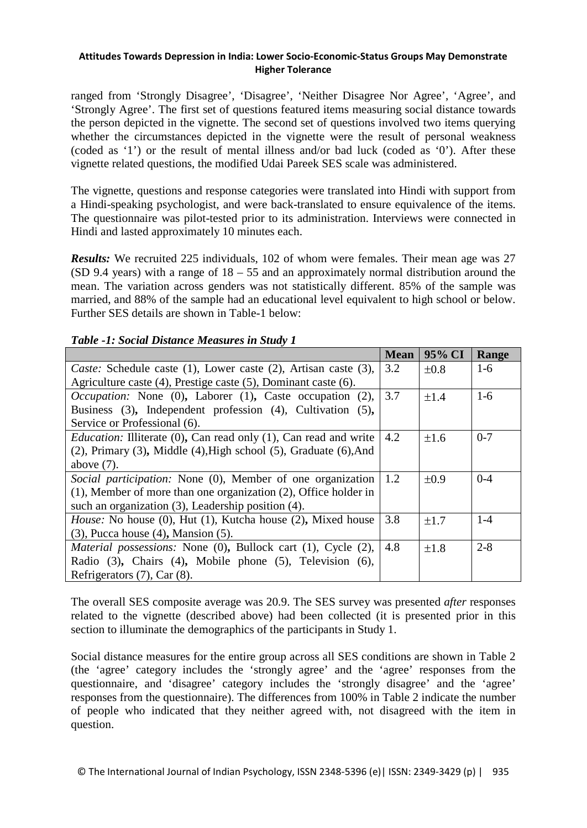ranged from 'Strongly Disagree', 'Disagree', 'Neither Disagree Nor Agree', 'Agree', and 'Strongly Agree'. The first set of questions featured items measuring social distance towards the person depicted in the vignette. The second set of questions involved two items querying whether the circumstances depicted in the vignette were the result of personal weakness (coded as '1') or the result of mental illness and/or bad luck (coded as '0'). After these vignette related questions, the modified Udai Pareek SES scale was administered.

The vignette, questions and response categories were translated into Hindi with support from a Hindi-speaking psychologist, and were back-translated to ensure equivalence of the items. The questionnaire was pilot-tested prior to its administration. Interviews were connected in Hindi and lasted approximately 10 minutes each.

*Results:* We recruited 225 individuals, 102 of whom were females. Their mean age was 27 (SD 9.4 years) with a range of 18 – 55 and an approximately normal distribution around the mean. The variation across genders was not statistically different. 85% of the sample was married, and 88% of the sample had an educational level equivalent to high school or below. Further SES details are shown in Table-1 below:

|  | Table -1: Social Distance Measures in Study 1 |  |  |  |  |
|--|-----------------------------------------------|--|--|--|--|
|--|-----------------------------------------------|--|--|--|--|

|                                                                                 | <b>Mean</b> | 95% CI    | Range   |
|---------------------------------------------------------------------------------|-------------|-----------|---------|
| Caste: Schedule caste (1), Lower caste (2), Artisan caste (3),                  |             | $\pm 0.8$ | $1-6$   |
| Agriculture caste $(4)$ , Prestige caste $(5)$ , Dominant caste $(6)$ .         |             |           |         |
| <i>Occupation:</i> None $(0)$ , Laborer $(1)$ , Caste occupation $(2)$ ,        | 3.7         | $\pm 1.4$ | $1-6$   |
| Business (3), Independent profession (4), Cultivation (5),                      |             |           |         |
| Service or Professional (6).                                                    |             |           |         |
| <i>Education:</i> Illiterate (0), Can read only (1), Can read and write         | 4.2         | $\pm 1.6$ | $0 - 7$ |
| $(2)$ , Primary $(3)$ , Middle $(4)$ , High school $(5)$ , Graduate $(6)$ , And |             |           |         |
| above $(7)$ .                                                                   |             |           |         |
| <i>Social participation:</i> None (0), Member of one organization               | 1.2         | $\pm 0.9$ | $0 - 4$ |
| $(1)$ , Member of more than one organization $(2)$ , Office holder in           |             |           |         |
| such an organization $(3)$ , Leadership position $(4)$ .                        |             |           |         |
| <i>House:</i> No house (0), Hut (1), Kutcha house (2), Mixed house              | 3.8         | $\pm 1.7$ | $1 - 4$ |
| $(3)$ , Pucca house $(4)$ , Mansion $(5)$ .                                     |             |           |         |
| <i>Material possessions:</i> None (0), Bullock cart (1), Cycle (2),             | 4.8         | $\pm 1.8$ | $2 - 8$ |
| Radio (3), Chairs (4), Mobile phone (5), Television (6),                        |             |           |         |
| Refrigerators (7), Car (8).                                                     |             |           |         |

The overall SES composite average was 20.9. The SES survey was presented *after* responses related to the vignette (described above) had been collected (it is presented prior in this section to illuminate the demographics of the participants in Study 1.

Social distance measures for the entire group across all SES conditions are shown in Table 2 (the 'agree' category includes the 'strongly agree' and the 'agree' responses from the questionnaire, and 'disagree' category includes the 'strongly disagree' and the 'agree' responses from the questionnaire). The differences from 100% in Table 2 indicate the number of people who indicated that they neither agreed with, not disagreed with the item in question.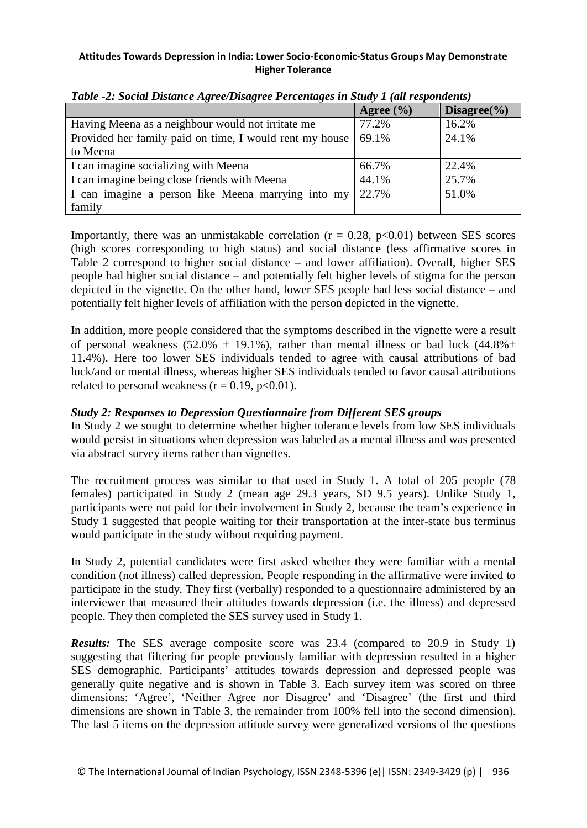|                                                         | Agree $(\% )$ | Disagree $(\% )$ |
|---------------------------------------------------------|---------------|------------------|
| Having Meena as a neighbour would not irritate me       | 77.2%         | 16.2%            |
| Provided her family paid on time, I would rent my house | 69.1%         | 24.1%            |
| to Meena                                                |               |                  |
| I can imagine socializing with Meena                    | 66.7%         | 22.4%            |
| I can imagine being close friends with Meena            | 44.1%         | 25.7%            |
| I can imagine a person like Meena marrying into my      | 22.7%         | 51.0%            |
| family                                                  |               |                  |

*Table -2: Social Distance Agree/Disagree Percentages in Study 1 (all respondents)*

Importantly, there was an unmistakable correlation ( $r = 0.28$ ,  $p < 0.01$ ) between SES scores (high scores corresponding to high status) and social distance (less affirmative scores in Table 2 correspond to higher social distance – and lower affiliation). Overall, higher SES people had higher social distance – and potentially felt higher levels of stigma for the person depicted in the vignette. On the other hand, lower SES people had less social distance – and potentially felt higher levels of affiliation with the person depicted in the vignette.

In addition, more people considered that the symptoms described in the vignette were a result of personal weakness (52.0%  $\pm$  19.1%), rather than mental illness or bad luck (44.8% $\pm$ 11.4%). Here too lower SES individuals tended to agree with causal attributions of bad luck/and or mental illness, whereas higher SES individuals tended to favor causal attributions related to personal weakness  $(r = 0.19, p < 0.01)$ .

# *Study 2: Responses to Depression Questionnaire from Different SES groups*

In Study 2 we sought to determine whether higher tolerance levels from low SES individuals would persist in situations when depression was labeled as a mental illness and was presented via abstract survey items rather than vignettes.

The recruitment process was similar to that used in Study 1. A total of 205 people (78 females) participated in Study 2 (mean age 29.3 years, SD 9.5 years). Unlike Study 1, participants were not paid for their involvement in Study 2, because the team's experience in Study 1 suggested that people waiting for their transportation at the inter-state bus terminus would participate in the study without requiring payment.

In Study 2, potential candidates were first asked whether they were familiar with a mental condition (not illness) called depression. People responding in the affirmative were invited to participate in the study. They first (verbally) responded to a questionnaire administered by an interviewer that measured their attitudes towards depression (i.e. the illness) and depressed people. They then completed the SES survey used in Study 1.

*Results:* The SES average composite score was 23.4 (compared to 20.9 in Study 1) suggesting that filtering for people previously familiar with depression resulted in a higher SES demographic. Participants' attitudes towards depression and depressed people was generally quite negative and is shown in Table 3. Each survey item was scored on three dimensions: 'Agree', 'Neither Agree nor Disagree' and 'Disagree' (the first and third dimensions are shown in Table 3, the remainder from 100% fell into the second dimension). The last 5 items on the depression attitude survey were generalized versions of the questions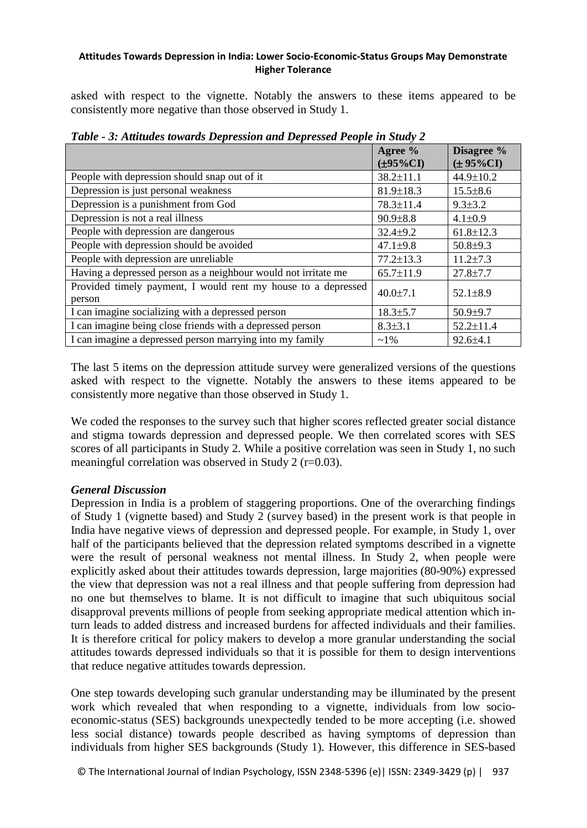asked with respect to the vignette. Notably the answers to these items appeared to be consistently more negative than those observed in Study 1.

|                                                                         | Agree %<br>$(\pm 95\%CI)$ | Disagree %<br>$(\pm 95\%CI)$ |
|-------------------------------------------------------------------------|---------------------------|------------------------------|
| People with depression should snap out of it                            | $38.2 \pm 11.1$           | 44.9±10.2                    |
| Depression is just personal weakness                                    | $81.9 \pm 18.3$           | $15.5 \pm 8.6$               |
| Depression is a punishment from God                                     | 78.3±11.4                 | $9.3 \pm 3.2$                |
| Depression is not a real illness                                        | $90.9 \pm 8.8$            | $4.1 \pm 0.9$                |
| People with depression are dangerous                                    | $32.4 \pm 9.2$            | $61.8 \pm 12.3$              |
| People with depression should be avoided                                | $47.1 \pm 9.8$            | $50.8{\pm}9.3$               |
| People with depression are unreliable                                   | $77.2 \pm 13.3$           | $11.2 \pm 7.3$               |
| Having a depressed person as a neighbour would not irritate me          | $65.7 \pm 11.9$           | $27.8 \pm 7.7$               |
| Provided timely payment, I would rent my house to a depressed<br>person | $40.0 \pm 7.1$            | $52.1 \pm 8.9$               |
| I can imagine socializing with a depressed person                       | $18.3 \pm 5.7$            | $50.9{\pm}9.7$               |
| I can imagine being close friends with a depressed person               | $8.3 \pm 3.1$             | $52.2 \pm 11.4$              |
| I can imagine a depressed person marrying into my family                | $~1\%$                    | $92.6 \pm 4.1$               |

*Table - 3: Attitudes towards Depression and Depressed People in Study 2*

The last 5 items on the depression attitude survey were generalized versions of the questions asked with respect to the vignette. Notably the answers to these items appeared to be consistently more negative than those observed in Study 1.

We coded the responses to the survey such that higher scores reflected greater social distance and stigma towards depression and depressed people. We then correlated scores with SES scores of all participants in Study 2. While a positive correlation was seen in Study 1, no such meaningful correlation was observed in Study 2 (r=0.03).

# *General Discussion*

Depression in India is a problem of staggering proportions. One of the overarching findings of Study 1 (vignette based) and Study 2 (survey based) in the present work is that people in India have negative views of depression and depressed people. For example, in Study 1, over half of the participants believed that the depression related symptoms described in a vignette were the result of personal weakness not mental illness. In Study 2, when people were explicitly asked about their attitudes towards depression, large majorities (80-90%) expressed the view that depression was not a real illness and that people suffering from depression had no one but themselves to blame. It is not difficult to imagine that such ubiquitous social disapproval prevents millions of people from seeking appropriate medical attention which inturn leads to added distress and increased burdens for affected individuals and their families. It is therefore critical for policy makers to develop a more granular understanding the social attitudes towards depressed individuals so that it is possible for them to design interventions that reduce negative attitudes towards depression.

One step towards developing such granular understanding may be illuminated by the present work which revealed that when responding to a vignette, individuals from low socioeconomic-status (SES) backgrounds unexpectedly tended to be more accepting (i.e. showed less social distance) towards people described as having symptoms of depression than individuals from higher SES backgrounds (Study 1). However, this difference in SES-based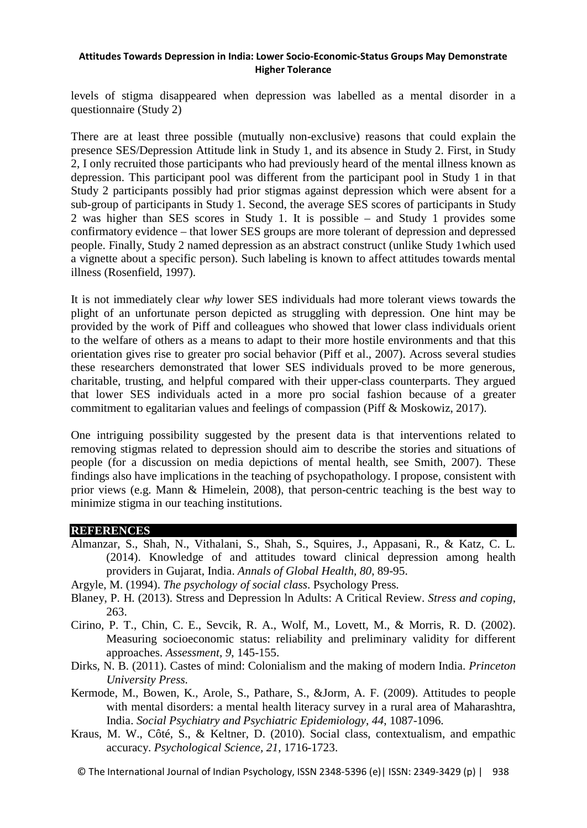levels of stigma disappeared when depression was labelled as a mental disorder in a questionnaire (Study 2)

There are at least three possible (mutually non-exclusive) reasons that could explain the presence SES/Depression Attitude link in Study 1, and its absence in Study 2. First, in Study 2, I only recruited those participants who had previously heard of the mental illness known as depression. This participant pool was different from the participant pool in Study 1 in that Study 2 participants possibly had prior stigmas against depression which were absent for a sub-group of participants in Study 1. Second, the average SES scores of participants in Study 2 was higher than SES scores in Study 1. It is possible – and Study 1 provides some confirmatory evidence – that lower SES groups are more tolerant of depression and depressed people. Finally, Study 2 named depression as an abstract construct (unlike Study 1which used a vignette about a specific person). Such labeling is known to affect attitudes towards mental illness (Rosenfield, 1997).

It is not immediately clear *why* lower SES individuals had more tolerant views towards the plight of an unfortunate person depicted as struggling with depression. One hint may be provided by the work of Piff and colleagues who showed that lower class individuals orient to the welfare of others as a means to adapt to their more hostile environments and that this orientation gives rise to greater pro social behavior (Piff et al., 2007). Across several studies these researchers demonstrated that lower SES individuals proved to be more generous, charitable, trusting, and helpful compared with their upper-class counterparts. They argued that lower SES individuals acted in a more pro social fashion because of a greater commitment to egalitarian values and feelings of compassion (Piff & Moskowiz, 2017).

One intriguing possibility suggested by the present data is that interventions related to removing stigmas related to depression should aim to describe the stories and situations of people (for a discussion on media depictions of mental health, see Smith, 2007). These findings also have implications in the teaching of psychopathology. I propose, consistent with prior views (e.g. Mann & Himelein, 2008), that person-centric teaching is the best way to minimize stigma in our teaching institutions.

# **REFERENCES**

- Almanzar, S., Shah, N., Vithalani, S., Shah, S., Squires, J., Appasani, R., & Katz, C. L. (2014). Knowledge of and attitudes toward clinical depression among health providers in Gujarat, India. *Annals of Global Health, 80*, 89-95.
- Argyle, M. (1994). *The psychology of social class*. Psychology Press.
- Blaney, P. H. (2013). Stress and Depression ln Adults: A Critical Review. *Stress and coping*, 263.
- Cirino, P. T., Chin, C. E., Sevcik, R. A., Wolf, M., Lovett, M., & Morris, R. D. (2002). Measuring socioeconomic status: reliability and preliminary validity for different approaches. *Assessment, 9*, 145-155.
- Dirks, N. B. (2011). Castes of mind: Colonialism and the making of modern India. *Princeton University Press*.
- Kermode, M., Bowen, K., Arole, S., Pathare, S., &Jorm, A. F. (2009). Attitudes to people with mental disorders: a mental health literacy survey in a rural area of Maharashtra, India. *Social Psychiatry and Psychiatric Epidemiology, 44*, 1087-1096.
- Kraus, M. W., Côté, S., & Keltner, D. (2010). Social class, contextualism, and empathic accuracy. *Psychological Science, 21*, 1716-1723.
- © The International Journal of Indian Psychology, ISSN 2348-5396 (e)| ISSN: 2349-3429 (p) | 938